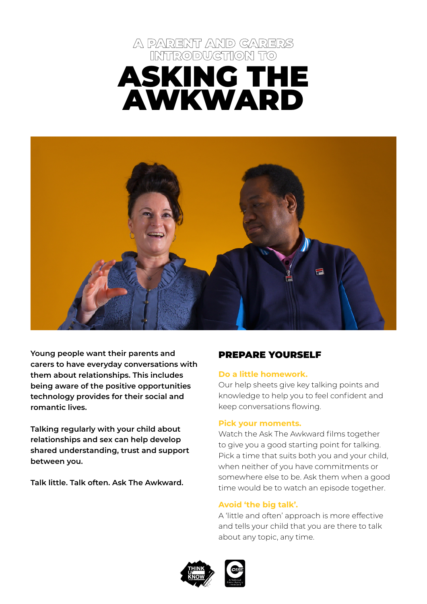# A PARENT AND CARERS INTRODUCTION TO ASKING THE AWKWARD



**Young people want their parents and carers to have everyday conversations with them about relationships. This includes being aware of the positive opportunities technology provides for their social and romantic lives.**

**Talking regularly with your child about relationships and sex can help develop shared understanding, trust and support between you.** 

**Talk little. Talk often. Ask The Awkward.** 

## PREPARE YOURSELF

#### **Do a little homework.**

Our help sheets give key talking points and knowledge to help you to feel confident and keep conversations flowing.

#### **Pick your moments.**

Watch the Ask The Awkward films together to give you a good starting point for talking. Pick a time that suits both you and your child, when neither of you have commitments or somewhere else to be. Ask them when a good time would be to watch an episode together.

#### **Avoid 'the big talk'.**

A 'little and often' approach is more effective and tells your child that you are there to talk about any topic, any time.